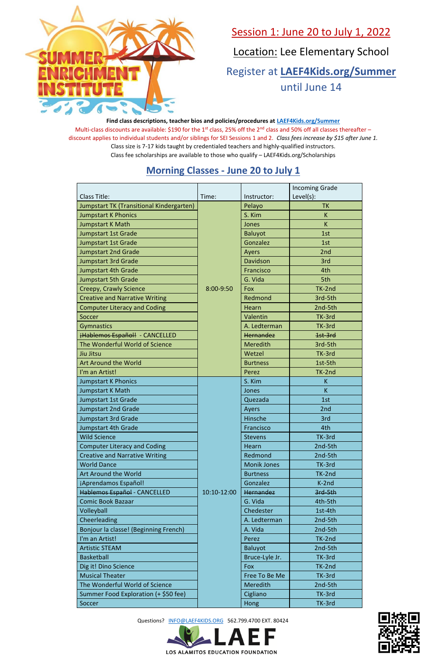Questions? [INFO@LAEF4KIDS.ORG](mailto:INFO@LAEF4KIDS.ORG) 562.799.4700 EXT. 80424







## Session 1: June 20 to July 1, 2022

Location: Lee Elementary School

Register at **[LAEF4Kids.org/Summer](https://laef4kids.org/summer/)** until June 14

**Find class descriptions, teacher bios and policies/procedures at [LAEF4Kids.org/Summer](https://laef4kids.org/summer/)** Multi-class discounts are available: \$190 for the 1<sup>st</sup> class, 25% off the 2<sup>nd</sup> class and 50% off all classes thereafter – discount applies to individual students and/or siblings for SEI Sessions 1 and 2. *Class fees increase by \$15 after June 1.* Class size is 7-17 kids taught by credentialed teachers and highly-qualified instructors. Class fee scholarships are available to those who qualify – LAEF4Kids.org/Scholarships

#### **Morning Classes - June 20 to July 1**

|                                          |             |                    | <b>Incoming Grade</b> |
|------------------------------------------|-------------|--------------------|-----------------------|
| <b>Class Title:</b>                      | Time:       | Instructor:        | Level(s):             |
| Jumpstart TK (Transitional Kindergarten) |             | Pelayo             | <b>TK</b>             |
| <b>Jumpstart K Phonics</b>               |             | S. Kim             | K.                    |
| Jumpstart K Math                         |             | Jones              | K                     |
| <b>Jumpstart 1st Grade</b>               |             | <b>Baluyot</b>     | 1st                   |
| <b>Jumpstart 1st Grade</b>               |             | Gonzalez           | 1st                   |
| <b>Jumpstart 2nd Grade</b>               |             | Ayers              | 2 <sub>nd</sub>       |
| <b>Jumpstart 3rd Grade</b>               |             | Davidson           | 3rd                   |
| <b>Jumpstart 4th Grade</b>               | 8:00-9:50   | Francisco          | 4th                   |
| <b>Jumpstart 5th Grade</b>               |             | G. Vida            | 5th                   |
| Creepy, Crawly Science                   |             | Fox                | TK-2nd                |
| <b>Creative and Narrative Writing</b>    |             | Redmond            | 3rd-5th               |
| <b>Computer Literacy and Coding</b>      |             | Hearn              | 2nd-5th               |
| Soccer                                   |             | Valentin           | TK-3rd                |
| <b>Gymnastics</b>                        |             | A. Ledterman       | TK-3rd                |
| ¡Hablemos Español! - CANCELLED           |             | Hernandez          | 1st-3rd               |
| The Wonderful World of Science           |             | <b>Meredith</b>    | 3rd-5th               |
| Jiu Jitsu                                |             | Wetzel             | TK-3rd                |
| <b>Art Around the World</b>              |             | <b>Burtness</b>    | 1st-5th               |
| I'm an Artist!                           |             | Perez              | TK-2nd                |
| <b>Jumpstart K Phonics</b>               |             | S. Kim             | K                     |
| Jumpstart K Math                         |             | Jones              | K.                    |
| Jumpstart 1st Grade                      |             | Quezada            | 1st                   |
| <b>Jumpstart 2nd Grade</b>               |             | Ayers              | 2nd                   |
| <b>Jumpstart 3rd Grade</b>               |             | Hinsche            | 3rd                   |
| Jumpstart 4th Grade                      |             | Francisco          | 4th                   |
| <b>Wild Science</b>                      |             | <b>Stevens</b>     | TK-3rd                |
| <b>Computer Literacy and Coding</b>      |             | Hearn              | 2nd-5th               |
| <b>Creative and Narrative Writing</b>    |             | Redmond            | 2nd-5th               |
| <b>World Dance</b>                       |             | <b>Monik Jones</b> | TK-3rd                |
| Art Around the World                     |             | <b>Burtness</b>    | TK-2nd                |
| ¡Aprendamos Español!                     |             | Gonzalez           | K-2nd                 |
| Hablemos Español - CANCELLED             | 10:10-12:00 | Hernandez          | 3rd-5th               |
| <b>Comic Book Bazaar</b>                 |             | G. Vida            | 4th-5th               |
| Volleyball                               |             | Chedester          | 1st-4th               |
| Cheerleading                             |             | A. Ledterman       | 2nd-5th               |
| Bonjour la classe! (Beginning French)    |             | A. Vida            | 2nd-5th               |
| I'm an Artist!                           |             | Perez              | TK-2nd                |
| <b>Artistic STEAM</b>                    |             | Baluyot            | 2nd-5th               |
| <b>Basketball</b>                        |             | Bruce-Lyle Jr.     | TK-3rd                |
| Dig it! Dino Science                     |             | Fox                | TK-2nd                |
| <b>Musical Theater</b>                   |             | Free To Be Me      | TK-3rd                |
| The Wonderful World of Science           |             | <b>Meredith</b>    | 2nd-5th               |
| Summer Food Exploration (+ \$50 fee)     |             | Cigliano           | TK-3rd                |
| Soccer                                   |             | Hong               | TK-3rd                |